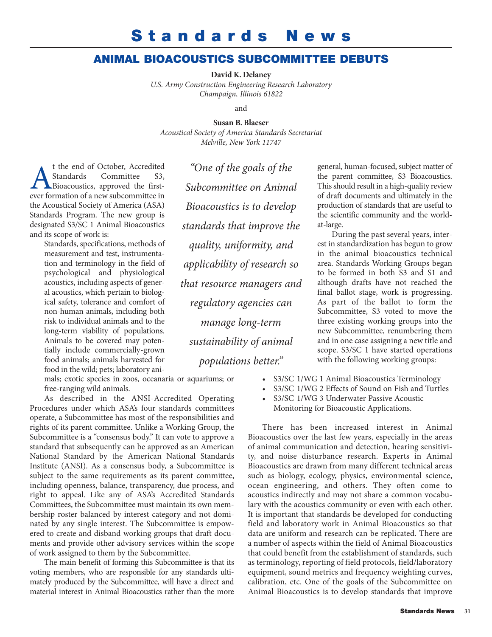## **Standards News**

## **ANIMAL BIOACOUSTICS SUBCOMMITTEE DEBUTS**

**David K. Delaney**

*U.S. Army Construction Engineering Research Laboratory Champaign, Illinois 61822*

and

**Susan B. Blaeser** *Acoustical Society of America Standards Secretariat*

*Melville, New York 11747*

t the end of October, Accredited<br>Standards Committee S3,<br>Bioacoustics, approved the first-<br>ever formation of a new subcommittee in Standards Committee S3, Bioacoustics, approved the firstever formation of a new subcommittee in the Acoustical Society of America (ASA) Standards Program. The new group is designated S3/SC 1 Animal Bioacoustics and its scope of work is:

Standards, specifications, methods of measurement and test, instrumentation and terminology in the field of psychological and physiological acoustics, including aspects of general acoustics, which pertain to biological safety, tolerance and comfort of non-human animals, including both risk to individual animals and to the long-term viability of populations. Animals to be covered may potentially include commercially-grown food animals; animals harvested for food in the wild; pets; laboratory ani-

mals; exotic species in zoos, oceanaria or aquariums; or free-ranging wild animals.

As described in the ANSI-Accredited Operating Procedures under which ASA's four standards committees operate, a Subcommittee has most of the responsibilities and rights of its parent committee. Unlike a Working Group, the Subcommittee is a "consensus body." It can vote to approve a standard that subsequently can be approved as an American National Standard by the American National Standards Institute (ANSI). As a consensus body, a Subcommittee is subject to the same requirements as its parent committee, including openness, balance, transparency, due process, and right to appeal. Like any of ASA's Accredited Standards Committees, the Subcommittee must maintain its own membership roster balanced by interest category and not dominated by any single interest. The Subcommittee is empowered to create and disband working groups that draft documents and provide other advisory services within the scope of work assigned to them by the Subcommittee.

The main benefit of forming this Subcommittee is that its voting members, who are responsible for any standards ultimately produced by the Subcommittee, will have a direct and material interest in Animal Bioacoustics rather than the more

*"One of the goals of the Subcommittee on Animal Bioacoustics is to develop standards that improve the quality, uniformity, and applicability of research so that resource managers and regulatory agencies can manage long-term sustainability of animal populations better."*

general, human-focused, subject matter of the parent committee, S3 Bioacoustics. This should result in a high-quality review of draft documents and ultimately in the production of standards that are useful to the scientific community and the worldat-large.

During the past several years, interest in standardization has begun to grow in the animal bioacoustics technical area. Standards Working Groups began to be formed in both S3 and S1 and although drafts have not reached the final ballot stage, work is progressing. As part of the ballot to form the Subcommittee, S3 voted to move the three existing working groups into the new Subcommittee, renumbering them and in one case assigning a new title and scope. S3/SC 1 have started operations with the following working groups:

- S3/SC 1/WG 1 Animal Bioacoustics Terminology
- S3/SC 1/WG 2 Effects of Sound on Fish and Turtles
- S3/SC 1/WG 3 Underwater Passive Acoustic Monitoring for Bioacoustic Applications.

There has been increased interest in Animal Bioacoustics over the last few years, especially in the areas of animal communication and detection, hearing sensitivity, and noise disturbance research. Experts in Animal Bioacoustics are drawn from many different technical areas such as biology, ecology, physics, environmental science, ocean engineering, and others. They often come to acoustics indirectly and may not share a common vocabulary with the acoustics community or even with each other. It is important that standards be developed for conducting field and laboratory work in Animal Bioacoustics so that data are uniform and research can be replicated. There are a number of aspects within the field of Animal Bioacoustics that could benefit from the establishment of standards, such as terminology, reporting of field protocols, field/laboratory equipment, sound metrics and frequency weighting curves, calibration, etc. One of the goals of the Subcommittee on Animal Bioacoustics is to develop standards that improve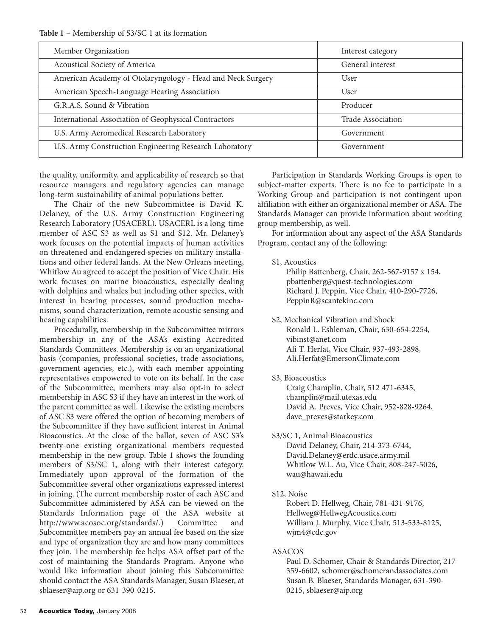**Table 1** – Membership of S3/SC 1 at its formation

| Member Organization                                        | Interest category |
|------------------------------------------------------------|-------------------|
| Acoustical Society of America                              | General interest  |
| American Academy of Otolaryngology - Head and Neck Surgery | User              |
| American Speech-Language Hearing Association               | User              |
| G.R.A.S. Sound & Vibration                                 | Producer          |
| International Association of Geophysical Contractors       | Trade Association |
| U.S. Army Aeromedical Research Laboratory                  | Government        |
| U.S. Army Construction Engineering Research Laboratory     | Government        |
|                                                            |                   |

the quality, uniformity, and applicability of research so that resource managers and regulatory agencies can manage long-term sustainability of animal populations better.

The Chair of the new Subcommittee is David K. Delaney, of the U.S. Army Construction Engineering Research Laboratory (USACERL). USACERL is a long-time member of ASC S3 as well as S1 and S12. Mr. Delaney's work focuses on the potential impacts of human activities on threatened and endangered species on military installations and other federal lands. At the New Orleans meeting, Whitlow Au agreed to accept the position of Vice Chair. His work focuses on marine bioacoustics, especially dealing with dolphins and whales but including other species, with interest in hearing processes, sound production mechanisms, sound characterization, remote acoustic sensing and hearing capabilities.

Procedurally, membership in the Subcommittee mirrors membership in any of the ASA's existing Accredited Standards Committees. Membership is on an organizational basis (companies, professional societies, trade associations, government agencies, etc.), with each member appointing representatives empowered to vote on its behalf. In the case of the Subcommittee, members may also opt-in to select membership in ASC S3 if they have an interest in the work of the parent committee as well. Likewise the existing members of ASC S3 were offered the option of becoming members of the Subcommittee if they have sufficient interest in Animal Bioacoustics. At the close of the ballot, seven of ASC S3's twenty-one existing organizational members requested membership in the new group. Table 1 shows the founding members of S3/SC 1, along with their interest category. Immediately upon approval of the formation of the Subcommittee several other organizations expressed interest in joining. (The current membership roster of each ASC and Subcommittee administered by ASA can be viewed on the Standards Information page of the ASA website at http://www.acosoc.org/standards/.) Committee and Subcommittee members pay an annual fee based on the size and type of organization they are and how many committees they join. The membership fee helps ASA offset part of the cost of maintaining the Standards Program. Anyone who would like information about joining this Subcommittee should contact the ASA Standards Manager, Susan Blaeser, at sblaeser@aip.org or 631-390-0215.

Participation in Standards Working Groups is open to subject-matter experts. There is no fee to participate in a Working Group and participation is not contingent upon affiliation with either an organizational member or ASA. The Standards Manager can provide information about working group membership, as well.

For information about any aspect of the ASA Standards Program, contact any of the following:

S1, Acoustics

Philip Battenberg, Chair, 262-567-9157 x 154, pbattenberg@quest-technologies.com Richard J. Peppin, Vice Chair, 410-290-7726, PeppinR@scantekinc.com

- S2, Mechanical Vibration and Shock Ronald L. Eshleman, Chair, 630-654-2254, vibinst@anet.com Ali T. Herfat, Vice Chair, 937-493-2898, Ali.Herfat@EmersonClimate.com
- S3, Bioacoustics

Craig Champlin, Chair, 512 471-6345, champlin@mail.utexas.edu David A. Preves, Vice Chair, 952-828-9264, dave\_preves@starkey.com

S3/SC 1, Animal Bioacoustics

David Delaney, Chair, 214-373-6744, David.Delaney@erdc.usace.army.mil Whitlow W.L. Au, Vice Chair, 808-247-5026, wau@hawaii.edu

S12, Noise

Robert D. Hellweg, Chair, 781-431-9176, Hellweg@HellwegAcoustics.com William J. Murphy, Vice Chair, 513-533-8125, wjm4@cdc.gov

## ASACOS

Paul D. Schomer, Chair & Standards Director, 217- 359-6602, schomer@schomerandassociates.com Susan B. Blaeser, Standards Manager, 631-390- 0215, sblaeser@aip.org